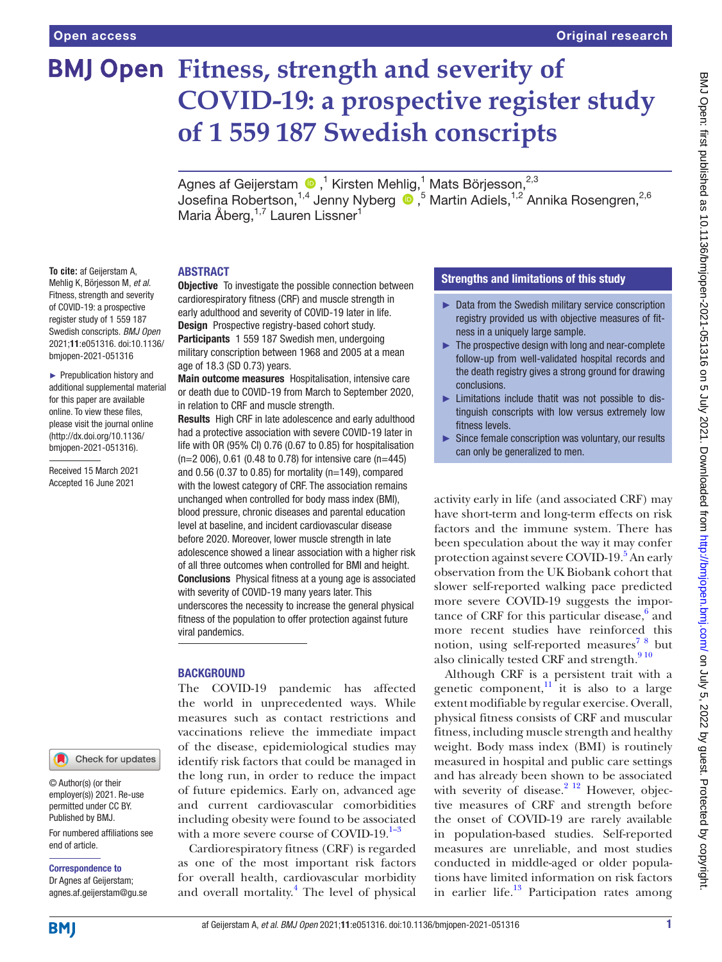# **BMJ Open Fitness, strength and severity of COVID-19: a prospective register study of 1 559 187 Swedish conscripts**

Agnesaf Geijerstam  $\bigcirc$  ,<sup>1</sup> Kirsten Mehlig,<sup>1</sup> Mats Börjesson,<sup>2,3</sup> Josefina Robertson,<sup>1,4</sup> Jenny Nyberg <sup>1,5</sup> Martin Adiels,<sup>1,2</sup> Annika Rosengren,<sup>2,6</sup> Maria Åberg,<sup>1,7</sup> Lauren Lissner<sup>1</sup>

#### ABSTRACT

**To cite:** af Geijerstam A, Mehlig K, Börjesson M, *et al*. Fitness, strength and severity of COVID-19: a prospective register study of 1 559 187 Swedish conscripts. *BMJ Open* 2021;11:e051316. doi:10.1136/ bmjopen-2021-051316

► Prepublication history and additional supplemental material for this paper are available online. To view these files, please visit the journal online (http://dx.doi.org/10.1136/ bmjopen-2021-051316).

Received 15 March 2021 Accepted 16 June 2021

# Check for updates

© Author(s) (or their employer(s)) 2021. Re-use permitted under CC BY. Published by BMJ.

For numbered affiliations see end of article.

# Correspondence to

Dr Agnes af Geijerstam; agnes.af.geijerstam@gu.se

#### **Objective** To investigate the possible connection between cardiorespiratory fitness (CRF) and muscle strength in early adulthood and severity of COVID-19 later in life. Design Prospective registry-based cohort study. Participants 1 559 187 Swedish men, undergoing military conscription between 1968 and 2005 at a mean age of 18.3 (SD 0.73) years.

Main outcome measures Hospitalisation, intensive care or death due to COVID-19 from March to September 2020, in relation to CRF and muscle strength.

Results High CRF in late adolescence and early adulthood had a protective association with severe COVID-19 later in life with OR (95% CI) 0.76 (0.67 to 0.85) for hospitalisation  $(n=2 006)$ , 0.61 (0.48 to 0.78) for intensive care (n=445) and  $0.56$  (0.37 to 0.85) for mortality (n=149), compared with the lowest category of CRF. The association remains unchanged when controlled for body mass index (BMI), blood pressure, chronic diseases and parental education level at baseline, and incident cardiovascular disease before 2020. Moreover, lower muscle strength in late adolescence showed a linear association with a higher risk of all three outcomes when controlled for BMI and height. **Conclusions** Physical fitness at a young age is associated with severity of COVID-19 many years later. This underscores the necessity to increase the general physical fitness of the population to offer protection against future viral pandemics.

#### **BACKGROUND**

The COVID-19 pandemic has affected the world in unprecedented ways. While measures such as contact restrictions and vaccinations relieve the immediate impact of the disease, epidemiological studies may identify risk factors that could be managed in the long run, in order to reduce the impact of future epidemics. Early on, advanced age and current cardiovascular comorbidities including obesity were found to be associated with a more severe course of COVID-19. $1-3$ 

Cardiorespiratory fitness (CRF) is regarded as one of the most important risk factors for overall health, cardiovascular morbidity and overall mortality.<sup>[4](#page-6-1)</sup> The level of physical

### Strengths and limitations of this study

- ► Data from the Swedish military service conscription registry provided us with objective measures of fitness in a uniquely large sample.
- ► The prospective design with long and near-complete follow-up from well-validated hospital records and the death registry gives a strong ground for drawing conclusions.
- ► Limitations include thatit was not possible to distinguish conscripts with low versus extremely low fitness levels.
- ► Since female conscription was voluntary, our results can only be generalized to men.

activity early in life (and associated CRF) may have short-term and long-term effects on risk factors and the immune system. There has been speculation about the way it may confer protection against severe COVID-19.<sup>5</sup> An early observation from the UK Biobank cohort that slower self-reported walking pace predicted more severe COVID-19 suggests the importance of CRF for this particular disease, $6$  and more recent studies have reinforced this notion, using self-reported measures<sup>78</sup> but also clinically tested CRF and strength.<sup>910</sup>

Although CRF is a persistent trait with a genetic component, $\frac{11}{11}$  it is also to a large extent modifiable by regular exercise. Overall, physical fitness consists of CRF and muscular fitness, including muscle strength and healthy weight. Body mass index (BMI) is routinely measured in hospital and public care settings and has already been shown to be associated with severity of disease. $2^{12}$  However, objective measures of CRF and strength before the onset of COVID-19 are rarely available in population-based studies. Self-reported measures are unreliable, and most studies conducted in middle-aged or older populations have limited information on risk factors in earlier life. $13$  Participation rates among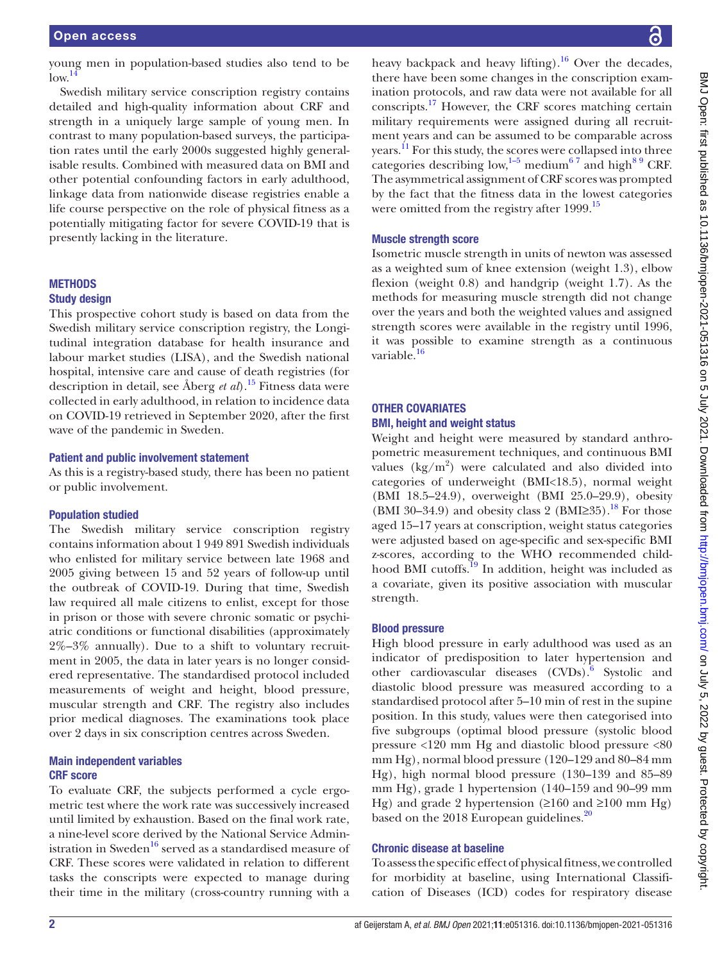young men in population-based studies also tend to be  $low.<sup>14</sup>$  $low.<sup>14</sup>$  $low.<sup>14</sup>$ 

Swedish military service conscription registry contains detailed and high-quality information about CRF and strength in a uniquely large sample of young men. In contrast to many population-based surveys, the participation rates until the early 2000s suggested highly generalisable results. Combined with measured data on BMI and other potential confounding factors in early adulthood, linkage data from nationwide disease registries enable a life course perspective on the role of physical fitness as a potentially mitigating factor for severe COVID-19 that is presently lacking in the literature.

# METHODS

### Study design

This prospective cohort study is based on data from the Swedish military service conscription registry, the Longitudinal integration database for health insurance and labour market studies (LISA), and the Swedish national hospital, intensive care and cause of death registries (for description in detail, see Åberg *et al*).[15](#page-7-2) Fitness data were collected in early adulthood, in relation to incidence data on COVID-19 retrieved in September 2020, after the first wave of the pandemic in Sweden.

#### Patient and public involvement statement

As this is a registry-based study, there has been no patient or public involvement.

#### Population studied

The Swedish military service conscription registry contains information about 1 949 891 Swedish individuals who enlisted for military service between late 1968 and 2005 giving between 15 and 52 years of follow-up until the outbreak of COVID-19. During that time, Swedish law required all male citizens to enlist, except for those in prison or those with severe chronic somatic or psychiatric conditions or functional disabilities (approximately 2%–3% annually). Due to a shift to voluntary recruitment in 2005, the data in later years is no longer considered representative. The standardised protocol included measurements of weight and height, blood pressure, muscular strength and CRF. The registry also includes prior medical diagnoses. The examinations took place over 2 days in six conscription centres across Sweden.

#### Main independent variables CRF score

To evaluate CRF, the subjects performed a cycle ergometric test where the work rate was successively increased until limited by exhaustion. Based on the final work rate, a nine-level score derived by the National Service Administration in Sweden<sup>16</sup> served as a standardised measure of CRF. These scores were validated in relation to different tasks the conscripts were expected to manage during their time in the military (cross-country running with a

heavy backpack and heavy lifting).<sup>16</sup> Over the decades, there have been some changes in the conscription examination protocols, and raw data were not available for all conscripts.[17](#page-7-4) However, the CRF scores matching certain military requirements were assigned during all recruitment years and can be assumed to be comparable across years.<sup>11</sup> For this study, the scores were collapsed into three categories describing low,<sup>1-5</sup> medium<sup>67</sup> and high<sup>89</sup> CRF. The asymmetrical assignment of CRF scores was prompted by the fact that the fitness data in the lowest categories were omitted from the registry after 1999.<sup>[15](#page-7-2)</sup>

#### Muscle strength score

Isometric muscle strength in units of newton was assessed as a weighted sum of knee extension (weight 1.3), elbow flexion (weight 0.8) and handgrip (weight 1.7). As the methods for measuring muscle strength did not change over the years and both the weighted values and assigned strength scores were available in the registry until 1996, it was possible to examine strength as a continuous variable.<sup>16</sup>

## OTHER COVARIATES BMI, height and weight status

Weight and height were measured by standard anthropometric measurement techniques, and continuous BMI values  $(kg/m^2)$  were calculated and also divided into categories of underweight (BMI<18.5), normal weight (BMI 18.5–24.9), overweight (BMI 25.0–29.9), obesity (BMI 30–34.9) and obesity class 2 (BMI≥35).<sup>[18](#page-7-5)</sup> For those aged 15–17 years at conscription, weight status categories were adjusted based on age-specific and sex-specific BMI z-scores, according to the WHO recommended child-hood BMI cutoffs.<sup>[19](#page-7-6)</sup> In addition, height was included as a covariate, given its positive association with muscular strength.

#### Blood pressure

High blood pressure in early adulthood was used as an indicator of predisposition to later hypertension and other cardiovascular diseases (CVDs).<sup>[6](#page-6-3)</sup> Systolic and diastolic blood pressure was measured according to a standardised protocol after 5–10 min of rest in the supine position. In this study, values were then categorised into five subgroups (optimal blood pressure (systolic blood pressure <120 mm Hg and diastolic blood pressure <80 mm Hg), normal blood pressure (120–129 and 80–84 mm Hg), high normal blood pressure (130–139 and 85–89 mm Hg), grade 1 hypertension (140–159 and 90–99 mm Hg) and grade 2 hypertension ( $\geq 160$  and  $\geq 100$  mm Hg) based on the [20](#page-7-7)18 European guidelines.<sup>20</sup>

#### Chronic disease at baseline

To assess the specific effect of physical fitness, we controlled for morbidity at baseline, using International Classification of Diseases (ICD) codes for respiratory disease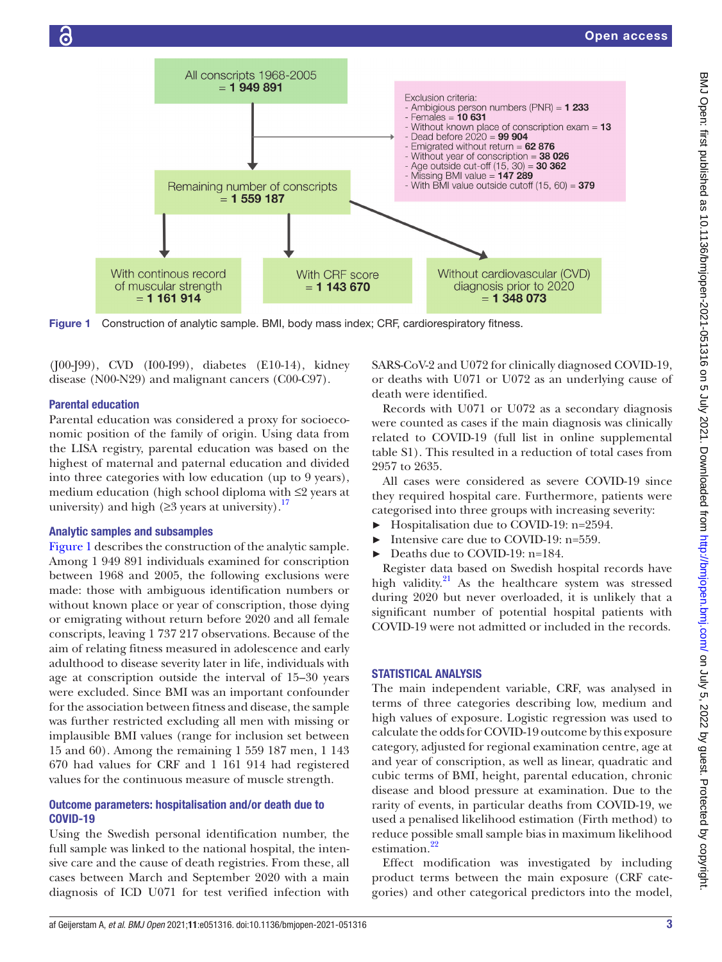

<span id="page-2-0"></span>Figure 1 Construction of analytic sample. BMI, body mass index; CRF, cardiorespiratory fitness.

(J00-J99), CVD (I00-I99), diabetes (E10-14), kidney disease (N00-N29) and malignant cancers (C00-C97).

#### Parental education

Parental education was considered a proxy for socioeconomic position of the family of origin. Using data from the LISA registry, parental education was based on the highest of maternal and paternal education and divided into three categories with low education (up to 9 years), medium education (high school diploma with ≤2 years at university) and high ( $\geq$ 3 years at university).<sup>[17](#page-7-4)</sup>

#### Analytic samples and subsamples

[Figure](#page-2-0) 1 describes the construction of the analytic sample. Among 1 949 891 individuals examined for conscription between 1968 and 2005, the following exclusions were made: those with ambiguous identification numbers or without known place or year of conscription, those dying or emigrating without return before 2020 and all female conscripts, leaving 1 737 217 observations. Because of the aim of relating fitness measured in adolescence and early adulthood to disease severity later in life, individuals with age at conscription outside the interval of 15–30 years were excluded. Since BMI was an important confounder for the association between fitness and disease, the sample was further restricted excluding all men with missing or implausible BMI values (range for inclusion set between 15 and 60). Among the remaining 1 559 187 men, 1 143 670 had values for CRF and 1 161 914 had registered values for the continuous measure of muscle strength.

#### Outcome parameters: hospitalisation and/or death due to COVID-19

Using the Swedish personal identification number, the full sample was linked to the national hospital, the intensive care and the cause of death registries. From these, all cases between March and September 2020 with a main diagnosis of ICD U071 for test verified infection with

SARS-CoV-2 and U072 for clinically diagnosed COVID-19, or deaths with U071 or U072 as an underlying cause of death were identified.

Records with U071 or U072 as a secondary diagnosis were counted as cases if the main diagnosis was clinically related to COVID-19 (full list in [online supplemental](https://dx.doi.org/10.1136/bmjopen-2021-051316)  [table S1](https://dx.doi.org/10.1136/bmjopen-2021-051316)). This resulted in a reduction of total cases from 2957 to 2635.

All cases were considered as severe COVID-19 since they required hospital care. Furthermore, patients were categorised into three groups with increasing severity:

- ► Hospitalisation due to COVID-19: n=2594.
- Intensive care due to COVID-19: n=559.
- Deaths due to COVID-19: n=184.

Register data based on Swedish hospital records have high validity. $^{21}$  As the healthcare system was stressed during 2020 but never overloaded, it is unlikely that a significant number of potential hospital patients with COVID-19 were not admitted or included in the records.

#### STATISTICAL ANALYSIS

The main independent variable, CRF, was analysed in terms of three categories describing low, medium and high values of exposure. Logistic regression was used to calculate the odds for COVID-19 outcome by this exposure category, adjusted for regional examination centre, age at and year of conscription, as well as linear, quadratic and cubic terms of BMI, height, parental education, chronic disease and blood pressure at examination. Due to the rarity of events, in particular deaths from COVID-19, we used a penalised likelihood estimation (Firth method) to reduce possible small sample bias in maximum likelihood estimation.<sup>22</sup>

Effect modification was investigated by including product terms between the main exposure (CRF categories) and other categorical predictors into the model,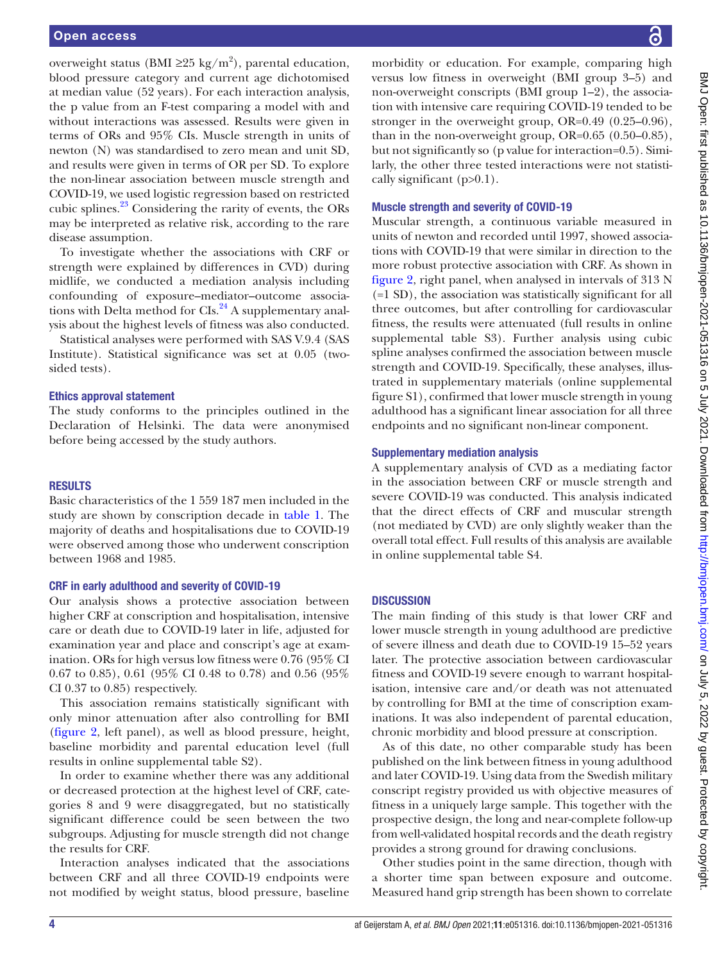overweight status (BMI  $\geq$ 25 kg/m<sup>2</sup>), parental education, blood pressure category and current age dichotomised at median value (52 years). For each interaction analysis, the p value from an F-test comparing a model with and without interactions was assessed. Results were given in terms of ORs and 95% CIs. Muscle strength in units of newton (N) was standardised to zero mean and unit SD, and results were given in terms of OR per SD. To explore the non-linear association between muscle strength and COVID-19, we used logistic regression based on restricted cubic splines.<sup>23</sup> Considering the rarity of events, the ORs may be interpreted as relative risk, according to the rare disease assumption.

To investigate whether the associations with CRF or strength were explained by differences in CVD) during midlife, we conducted a mediation analysis including confounding of exposure–mediator–outcome associations with Delta method for CIs.<sup>24</sup> A supplementary analysis about the highest levels of fitness was also conducted.

Statistical analyses were performed with SAS V.9.4 (SAS Institute). Statistical significance was set at 0.05 (twosided tests).

#### Ethics approval statement

The study conforms to the principles outlined in the Declaration of Helsinki. The data were anonymised before being accessed by the study authors.

#### RESULTS

Basic characteristics of the 1 559 187 men included in the study are shown by conscription decade in [table](#page-4-0) 1. The majority of deaths and hospitalisations due to COVID-19 were observed among those who underwent conscription between 1968 and 1985.

#### CRF in early adulthood and severity of COVID-19

Our analysis shows a protective association between higher CRF at conscription and hospitalisation, intensive care or death due to COVID-19 later in life, adjusted for examination year and place and conscript's age at examination. ORs for high versus low fitness were 0.76 (95% CI 0.67 to 0.85), 0.61 (95% CI 0.48 to 0.78) and 0.56 (95% CI 0.37 to 0.85) respectively.

This association remains statistically significant with only minor attenuation after also controlling for BMI ([figure](#page-5-0) 2, left panel), as well as blood pressure, height, baseline morbidity and parental education level (full results in [online supplemental table S2](https://dx.doi.org/10.1136/bmjopen-2021-051316)).

In order to examine whether there was any additional or decreased protection at the highest level of CRF, categories 8 and 9 were disaggregated, but no statistically significant difference could be seen between the two subgroups. Adjusting for muscle strength did not change the results for CRF.

Interaction analyses indicated that the associations between CRF and all three COVID-19 endpoints were not modified by weight status, blood pressure, baseline

morbidity or education. For example, comparing high versus low fitness in overweight (BMI group 3–5) and non-overweight conscripts (BMI group 1–2), the association with intensive care requiring COVID-19 tended to be stronger in the overweight group, OR=0.49 (0.25–0.96), than in the non-overweight group, OR=0.65 (0.50–0.85), but not significantly so (p value for interaction=0.5). Similarly, the other three tested interactions were not statistically significant  $(p>0.1)$ .

#### Muscle strength and severity of COVID-19

Muscular strength, a continuous variable measured in units of newton and recorded until 1997, showed associations with COVID-19 that were similar in direction to the more robust protective association with CRF. As shown in [figure](#page-5-0) 2, right panel, when analysed in intervals of 313 N (=1 SD), the association was statistically significant for all three outcomes, but after controlling for cardiovascular fitness, the results were attenuated (full results in [online](https://dx.doi.org/10.1136/bmjopen-2021-051316)  [supplemental table S3](https://dx.doi.org/10.1136/bmjopen-2021-051316)). Further analysis using cubic spline analyses confirmed the association between muscle strength and COVID-19. Specifically, these analyses, illustrated in supplementary materials [\(online supplemental](https://dx.doi.org/10.1136/bmjopen-2021-051316)  [figure S1](https://dx.doi.org/10.1136/bmjopen-2021-051316)), confirmed that lower muscle strength in young adulthood has a significant linear association for all three endpoints and no significant non-linear component.

#### Supplementary mediation analysis

A supplementary analysis of CVD as a mediating factor in the association between CRF or muscle strength and severe COVID-19 was conducted. This analysis indicated that the direct effects of CRF and muscular strength (not mediated by CVD) are only slightly weaker than the overall total effect. Full results of this analysis are available in [online supplemental table S4](https://dx.doi.org/10.1136/bmjopen-2021-051316).

#### **DISCUSSION**

The main finding of this study is that lower CRF and lower muscle strength in young adulthood are predictive of severe illness and death due to COVID-19 15–52 years later. The protective association between cardiovascular fitness and COVID-19 severe enough to warrant hospitalisation, intensive care and/or death was not attenuated by controlling for BMI at the time of conscription examinations. It was also independent of parental education, chronic morbidity and blood pressure at conscription.

As of this date, no other comparable study has been published on the link between fitness in young adulthood and later COVID-19. Using data from the Swedish military conscript registry provided us with objective measures of fitness in a uniquely large sample. This together with the prospective design, the long and near-complete follow-up from well-validated hospital records and the death registry provides a strong ground for drawing conclusions.

Other studies point in the same direction, though with a shorter time span between exposure and outcome. Measured hand grip strength has been shown to correlate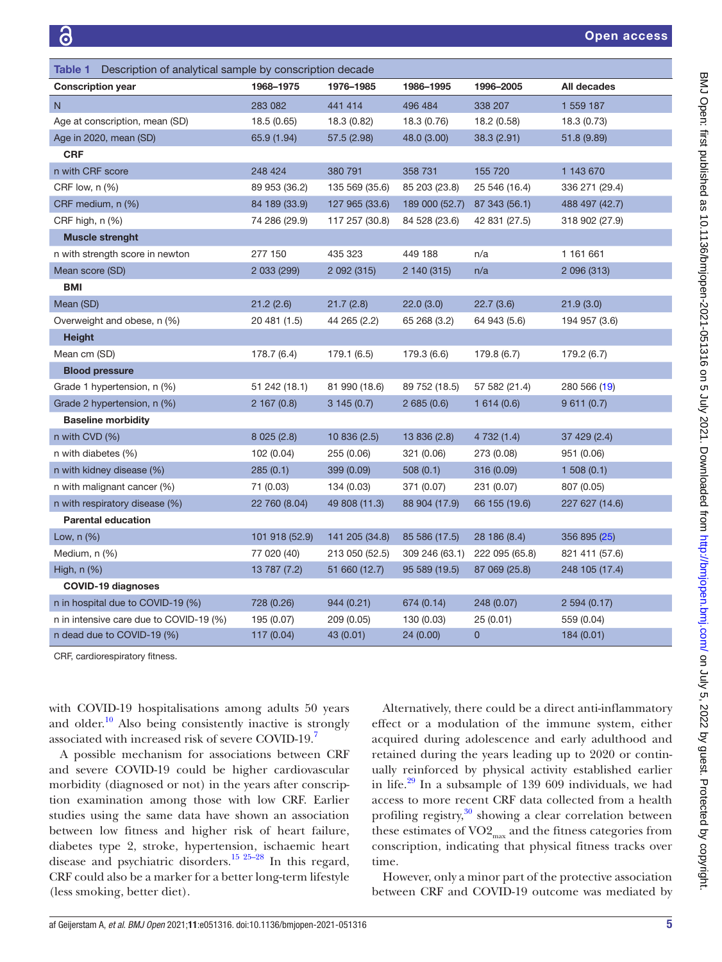<span id="page-4-0"></span>

| <b>Table 1</b> Description of analytical sample by conscription decade |                |                |                |                |                |
|------------------------------------------------------------------------|----------------|----------------|----------------|----------------|----------------|
| <b>Conscription year</b>                                               | 1968-1975      | 1976-1985      | 1986-1995      | 1996-2005      | All decades    |
| $\overline{N}$                                                         | 283 082        | 441 414        | 496 484        | 338 207        | 1 559 187      |
| Age at conscription, mean (SD)                                         | 18.5 (0.65)    | 18.3 (0.82)    | 18.3 (0.76)    | 18.2 (0.58)    | 18.3 (0.73)    |
| Age in 2020, mean (SD)                                                 | 65.9 (1.94)    | 57.5 (2.98)    | 48.0 (3.00)    | 38.3(2.91)     | 51.8 (9.89)    |
| <b>CRF</b>                                                             |                |                |                |                |                |
| n with CRF score                                                       | 248 424        | 380 791        | 358 731        | 155 720        | 1 143 670      |
| CRF low, $n$ $%$                                                       | 89 953 (36.2)  | 135 569 (35.6) | 85 203 (23.8)  | 25 546 (16.4)  | 336 271 (29.4) |
| CRF medium, n (%)                                                      | 84 189 (33.9)  | 127 965 (33.6) | 189 000 (52.7) | 87 343 (56.1)  | 488 497 (42.7) |
| CRF high, n (%)                                                        | 74 286 (29.9)  | 117 257 (30.8) | 84 528 (23.6)  | 42 831 (27.5)  | 318 902 (27.9) |
| <b>Muscle strenght</b>                                                 |                |                |                |                |                |
| n with strength score in newton                                        | 277 150        | 435 323        | 449 188        | n/a            | 1 161 661      |
| Mean score (SD)                                                        | 2 033 (299)    | 2 092 (315)    | 2 140 (315)    | n/a            | 2 096 (313)    |
| <b>BMI</b>                                                             |                |                |                |                |                |
| Mean (SD)                                                              | 21.2(2.6)      | 21.7(2.8)      | 22.0(3.0)      | 22.7(3.6)      | 21.9(3.0)      |
| Overweight and obese, n (%)                                            | 20 481 (1.5)   | 44 265 (2.2)   | 65 268 (3.2)   | 64 943 (5.6)   | 194 957 (3.6)  |
| <b>Height</b>                                                          |                |                |                |                |                |
| Mean cm (SD)                                                           | 178.7 (6.4)    | 179.1 (6.5)    | 179.3 (6.6)    | 179.8 (6.7)    | 179.2 (6.7)    |
| <b>Blood pressure</b>                                                  |                |                |                |                |                |
| Grade 1 hypertension, n (%)                                            | 51 242 (18.1)  | 81 990 (18.6)  | 89 752 (18.5)  | 57 582 (21.4)  | 280 566 (19)   |
| Grade 2 hypertension, n (%)                                            | 2 167 (0.8)    | 3145(0.7)      | 2685(0.6)      | 1614(0.6)      | 9611(0.7)      |
| <b>Baseline morbidity</b>                                              |                |                |                |                |                |
| n with CVD (%)                                                         | 8 0 25 (2.8)   | 10 836 (2.5)   | 13 836 (2.8)   | 4 732 (1.4)    | 37 429 (2.4)   |
| n with diabetes (%)                                                    | 102 (0.04)     | 255 (0.06)     | 321 (0.06)     | 273 (0.08)     | 951 (0.06)     |
| n with kidney disease (%)                                              | 285(0.1)       | 399 (0.09)     | 508(0.1)       | 316 (0.09)     | 1508(0.1)      |
| n with malignant cancer (%)                                            | 71 (0.03)      | 134 (0.03)     | 371 (0.07)     | 231 (0.07)     | 807 (0.05)     |
| n with respiratory disease (%)                                         | 22 760 (8.04)  | 49 808 (11.3)  | 88 904 (17.9)  | 66 155 (19.6)  | 227 627 (14.6) |
| <b>Parental education</b>                                              |                |                |                |                |                |
| Low, n (%)                                                             | 101 918 (52.9) | 141 205 (34.8) | 85 586 (17.5)  | 28 186 (8.4)   | 356 895 (25)   |
| Medium, n (%)                                                          | 77 020 (40)    | 213 050 (52.5) | 309 246 (63.1) | 222 095 (65.8) | 821 411 (57.6) |
| High, n (%)                                                            | 13 787 (7.2)   | 51 660 (12.7)  | 95 589 (19.5)  | 87 069 (25.8)  | 248 105 (17.4) |
| <b>COVID-19 diagnoses</b>                                              |                |                |                |                |                |
| n in hospital due to COVID-19 (%)                                      | 728 (0.26)     | 944 (0.21)     | 674 (0.14)     | 248 (0.07)     | 2 594 (0.17)   |
| n in intensive care due to COVID-19 (%)                                | 195 (0.07)     | 209 (0.05)     | 130 (0.03)     | 25(0.01)       | 559 (0.04)     |
| n dead due to COVID-19 (%)                                             | 117 (0.04)     | 43 (0.01)      | 24 (0.00)      | $\mathbf{0}$   | 184 (0.01)     |

CRF, cardiorespiratory fitness.

with COVID-19 hospitalisations among adults 50 years and older.<sup>[10](#page-6-9)</sup> Also being consistently inactive is strongly associated with increased risk of severe COVID-19.[7](#page-6-4)

A possible mechanism for associations between CRF and severe COVID-19 could be higher cardiovascular morbidity (diagnosed or not) in the years after conscription examination among those with low CRF. Earlier studies using the same data have shown an association between low fitness and higher risk of heart failure, diabetes type 2, stroke, hypertension, ischaemic heart disease and psychiatric disorders.[15 25–28](#page-7-2) In this regard, CRF could also be a marker for a better long-term lifestyle (less smoking, better diet).

Alternatively, there could be a direct anti-inflammatory effect or a modulation of the immune system, either acquired during adolescence and early adulthood and retained during the years leading up to 2020 or continually reinforced by physical activity established earlier in life. $^{29}$  In a subsample of 139 609 individuals, we had access to more recent CRF data collected from a health profiling registry,<sup>30</sup> showing a clear correlation between these estimates of  $VO2_{\text{max}}$  and the fitness categories from conscription, indicating that physical fitness tracks over time.

However, only a minor part of the protective association between CRF and COVID-19 outcome was mediated by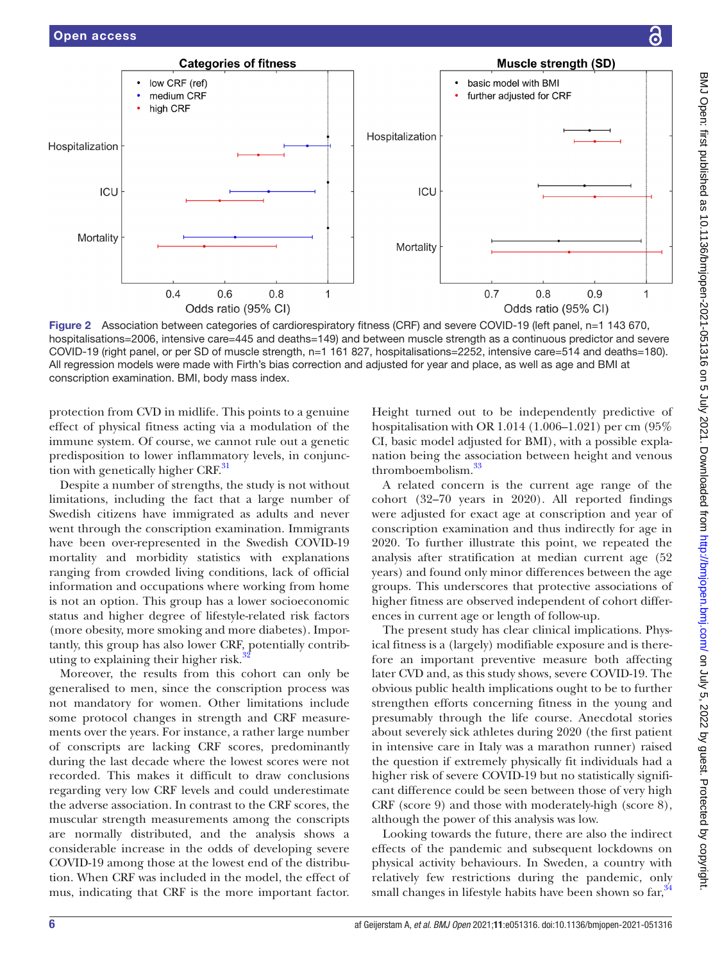

<span id="page-5-0"></span>Figure 2 Association between categories of cardiorespiratory fitness (CRF) and severe COVID-19 (left panel, n=1 143 670, hospitalisations=2006, intensive care=445 and deaths=149) and between muscle strength as a continuous predictor and severe COVID-19 (right panel, or per SD of muscle strength, n=1 161 827, hospitalisations=2252, intensive care=514 and deaths=180). All regression models were made with Firth's bias correction and adjusted for year and place, as well as age and BMI at conscription examination. BMI, body mass index.

protection from CVD in midlife. This points to a genuine effect of physical fitness acting via a modulation of the immune system. Of course, we cannot rule out a genetic predisposition to lower inflammatory levels, in conjunction with genetically higher  $CRF<sup>31</sup>$  $CRF<sup>31</sup>$  $CRF<sup>31</sup>$ 

Despite a number of strengths, the study is not without limitations, including the fact that a large number of Swedish citizens have immigrated as adults and never went through the conscription examination. Immigrants have been over-represented in the Swedish COVID-19 mortality and morbidity statistics with explanations ranging from crowded living conditions, lack of official information and occupations where working from home is not an option. This group has a lower socioeconomic status and higher degree of lifestyle-related risk factors (more obesity, more smoking and more diabetes). Importantly, this group has also lower CRF, potentially contrib-uting to explaining their higher risk.<sup>[32](#page-7-16)</sup>

Moreover, the results from this cohort can only be generalised to men, since the conscription process was not mandatory for women. Other limitations include some protocol changes in strength and CRF measurements over the years. For instance, a rather large number of conscripts are lacking CRF scores, predominantly during the last decade where the lowest scores were not recorded. This makes it difficult to draw conclusions regarding very low CRF levels and could underestimate the adverse association. In contrast to the CRF scores, the muscular strength measurements among the conscripts are normally distributed, and the analysis shows a considerable increase in the odds of developing severe COVID-19 among those at the lowest end of the distribution. When CRF was included in the model, the effect of mus, indicating that CRF is the more important factor.

Height turned out to be independently predictive of hospitalisation with OR 1.014 (1.006–1.021) per cm (95% CI, basic model adjusted for BMI), with a possible explanation being the association between height and venous thromboembolism.[33](#page-7-17)

A related concern is the current age range of the cohort (32–70 years in 2020). All reported findings were adjusted for exact age at conscription and year of conscription examination and thus indirectly for age in 2020. To further illustrate this point, we repeated the analysis after stratification at median current age (52 years) and found only minor differences between the age groups. This underscores that protective associations of higher fitness are observed independent of cohort differences in current age or length of follow-up.

The present study has clear clinical implications. Physical fitness is a (largely) modifiable exposure and is therefore an important preventive measure both affecting later CVD and, as this study shows, severe COVID-19. The obvious public health implications ought to be to further strengthen efforts concerning fitness in the young and presumably through the life course. Anecdotal stories about severely sick athletes during 2020 (the first patient in intensive care in Italy was a marathon runner) raised the question if extremely physically fit individuals had a higher risk of severe COVID-19 but no statistically significant difference could be seen between those of very high CRF (score 9) and those with moderately-high (score 8), although the power of this analysis was low.

Looking towards the future, there are also the indirect effects of the pandemic and subsequent lockdowns on physical activity behaviours. In Sweden, a country with relatively few restrictions during the pandemic, only small changes in lifestyle habits have been shown so  $far<sup>34</sup>$  $far<sup>34</sup>$  $far<sup>34</sup>$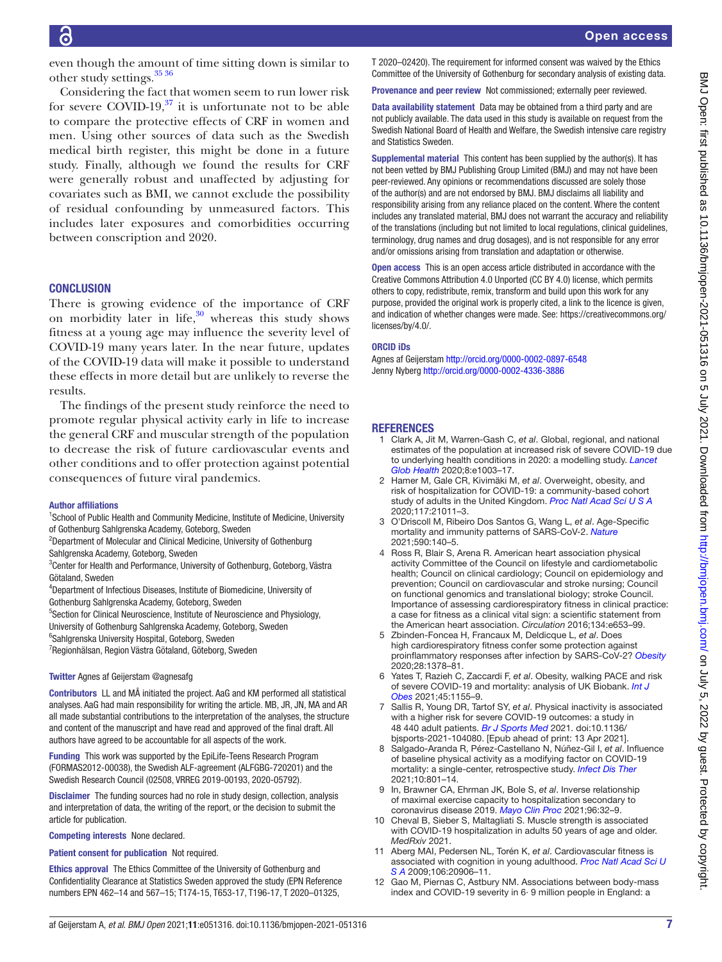even though the amount of time sitting down is similar to other study settings.<sup>35</sup> 36

Considering the fact that women seem to run lower risk for severe COVID-19, $37$  it is unfortunate not to be able to compare the protective effects of CRF in women and men. Using other sources of data such as the Swedish medical birth register, this might be done in a future study. Finally, although we found the results for CRF were generally robust and unaffected by adjusting for covariates such as BMI, we cannot exclude the possibility of residual confounding by unmeasured factors. This includes later exposures and comorbidities occurring between conscription and 2020.

#### **CONCLUSION**

There is growing evidence of the importance of CRF on morbidity later in life, $30$  whereas this study shows fitness at a young age may influence the severity level of COVID-19 many years later. In the near future, updates of the COVID-19 data will make it possible to understand these effects in more detail but are unlikely to reverse the results.

The findings of the present study reinforce the need to promote regular physical activity early in life to increase the general CRF and muscular strength of the population to decrease the risk of future cardiovascular events and other conditions and to offer protection against potential consequences of future viral pandemics.

#### Author affiliations

- <sup>1</sup>School of Public Health and Community Medicine, Institute of Medicine, University of Gothenburg Sahlgrenska Academy, Goteborg, Sweden
- <sup>2</sup>Department of Molecular and Clinical Medicine, University of Gothenburg Sahlgrenska Academy, Goteborg, Sweden
- <sup>3</sup>Center for Health and Performance, University of Gothenburg, Goteborg, Västra Götaland, Sweden
- 4 Department of Infectious Diseases, Institute of Biomedicine, University of Gothenburg Sahlgrenska Academy, Goteborg, Sweden
- <sup>5</sup>Section for Clinical Neuroscience, Institute of Neuroscience and Physiology,
- University of Gothenburg Sahlgrenska Academy, Goteborg, Sweden
- 6 Sahlgrenska University Hospital, Goteborg, Sweden
- <sup>7</sup> Regionhälsan, Region Västra Götaland, Göteborg, Sweden

#### Twitter Agnes af Geijerstam [@agnesafg](https://twitter.com/agnesafg)

Contributors LL and MÅ initiated the project. AaG and KM performed all statistical analyses. AaG had main responsibility for writing the article. MB, JR, JN, MA and AR all made substantial contributions to the interpretation of the analyses, the structure and content of the manuscript and have read and approved of the final draft. All authors have agreed to be accountable for all aspects of the work.

Funding This work was supported by the EpiLife-Teens Research Program (FORMAS2012-00038), the Swedish ALF-agreement (ALFGBG-720201) and the Swedish Research Council (02508, VRREG 2019-00193, 2020-05792).

Disclaimer The funding sources had no role in study design, collection, analysis and interpretation of data, the writing of the report, or the decision to submit the article for publication.

Competing interests None declared.

#### Patient consent for publication Not required.

Ethics approval The Ethics Committee of the University of Gothenburg and Confidentiality Clearance at Statistics Sweden approved the study (EPN Reference numbers EPN 462–14 and 567–15; T174-15, T653-17, T196-17, T 2020–01325,

T 2020–02420). The requirement for informed consent was waived by the Ethics Committee of the University of Gothenburg for secondary analysis of existing data.

Provenance and peer review Not commissioned; externally peer reviewed.

Data availability statement Data may be obtained from a third party and are not publicly available. The data used in this study is available on request from the Swedish National Board of Health and Welfare, the Swedish intensive care registry and Statistics Sweden.

Supplemental material This content has been supplied by the author(s). It has not been vetted by BMJ Publishing Group Limited (BMJ) and may not have been peer-reviewed. Any opinions or recommendations discussed are solely those of the author(s) and are not endorsed by BMJ. BMJ disclaims all liability and responsibility arising from any reliance placed on the content. Where the content includes any translated material, BMJ does not warrant the accuracy and reliability of the translations (including but not limited to local regulations, clinical guidelines, terminology, drug names and drug dosages), and is not responsible for any error and/or omissions arising from translation and adaptation or otherwise.

Open access This is an open access article distributed in accordance with the Creative Commons Attribution 4.0 Unported (CC BY 4.0) license, which permits others to copy, redistribute, remix, transform and build upon this work for any purpose, provided the original work is properly cited, a link to the licence is given, and indication of whether changes were made. See: [https://creativecommons.org/](https://creativecommons.org/licenses/by/4.0/) [licenses/by/4.0/](https://creativecommons.org/licenses/by/4.0/).

#### ORCID iDs

Agnes af Geijerstam<http://orcid.org/0000-0002-0897-6548> Jenny Nyberg<http://orcid.org/0000-0002-4336-3886>

#### **REFERENCES**

- <span id="page-6-0"></span>1 Clark A, Jit M, Warren-Gash C, *et al*. Global, regional, and national estimates of the population at increased risk of severe COVID-19 due to underlying health conditions in 2020: a modelling study. *[Lancet](http://dx.doi.org/10.1016/S2214-109X(20)30264-3)  [Glob Health](http://dx.doi.org/10.1016/S2214-109X(20)30264-3)* 2020;8:e1003–17.
- <span id="page-6-7"></span>2 Hamer M, Gale CR, Kivimäki M, *et al*. Overweight, obesity, and risk of hospitalization for COVID-19: a community-based cohort study of adults in the United Kingdom. *[Proc Natl Acad Sci U S A](http://dx.doi.org/10.1073/pnas.2011086117)* 2020;117:21011–3.
- 3 O'Driscoll M, Ribeiro Dos Santos G, Wang L, *et al*. Age-Specific mortality and immunity patterns of SARS-CoV-2. *[Nature](http://dx.doi.org/10.1038/s41586-020-2918-0)* 2021;590:140–5.
- <span id="page-6-1"></span>4 Ross R, Blair S, Arena R. American heart association physical activity Committee of the Council on lifestyle and cardiometabolic health; Council on clinical cardiology; Council on epidemiology and prevention; Council on cardiovascular and stroke nursing; Council on functional genomics and translational biology; stroke Council. Importance of assessing cardiorespiratory fitness in clinical practice: a case for fitness as a clinical vital sign: a scientific statement from the American heart association. *Circulation* 2016;134:e653–99.
- <span id="page-6-2"></span>5 Zbinden-Foncea H, Francaux M, Deldicque L, *et al*. Does high cardiorespiratory fitness confer some protection against proinflammatory responses after infection by SARS-CoV-2? *[Obesity](http://dx.doi.org/10.1002/oby.22849)* 2020;28:1378–81.
- <span id="page-6-3"></span>6 Yates T, Razieh C, Zaccardi F, *et al*. Obesity, walking PACE and risk of severe COVID-19 and mortality: analysis of UK Biobank. *[Int J](http://dx.doi.org/10.1038/s41366-021-00771-z)  [Obes](http://dx.doi.org/10.1038/s41366-021-00771-z)* 2021;45:1155–9.
- <span id="page-6-4"></span>7 Sallis R, Young DR, Tartof SY, *et al*. Physical inactivity is associated with a higher risk for severe COVID-19 outcomes: a study in 48 440 adult patients. *[Br J Sports Med](http://dx.doi.org/10.1136/bjsports-2021-104080)* 2021. doi:10.1136/ bjsports-2021-104080. [Epub ahead of print: 13 Apr 2021].
- <span id="page-6-8"></span>8 Salgado-Aranda R, Pérez-Castellano N, Núñez-Gil I, *et al*. Influence of baseline physical activity as a modifying factor on COVID-19 mortality: a single-center, retrospective study. *[Infect Dis Ther](http://dx.doi.org/10.1007/s40121-021-00418-6)* 2021;10:801–14.
- <span id="page-6-5"></span>9 In, Brawner CA, Ehrman JK, Bole S, *et al*. Inverse relationship of maximal exercise capacity to hospitalization secondary to coronavirus disease 2019. *[Mayo Clin Proc](http://dx.doi.org/10.1016/j.mayocp.2020.10.003)* 2021;96:32–9.
- <span id="page-6-9"></span>10 Cheval B, Sieber S, Maltagliati S. Muscle strength is associated with COVID-19 hospitalization in adults 50 years of age and older. *MedRxiv* 2021.
- <span id="page-6-6"></span>11 Aberg MAI, Pedersen NL, Torén K, *et al*. Cardiovascular fitness is associated with cognition in young adulthood. *[Proc Natl Acad Sci U](http://dx.doi.org/10.1073/pnas.0905307106)  [S A](http://dx.doi.org/10.1073/pnas.0905307106)* 2009;106:20906–11.
- 12 Gao M, Piernas C, Astbury NM. Associations between body-mass index and COVID-19 severity in 6· 9 million people in England: a